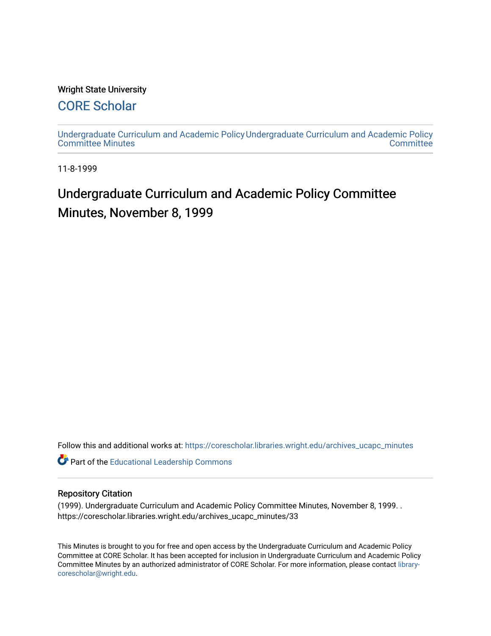#### Wright State University

### [CORE Scholar](https://corescholar.libraries.wright.edu/)

[Undergraduate Curriculum and Academic Policy](https://corescholar.libraries.wright.edu/archives_ucapc_minutes) [Undergraduate Curriculum and Academic Policy](https://corescholar.libraries.wright.edu/archives_ucapc)  [Committee Minutes](https://corescholar.libraries.wright.edu/archives_ucapc_minutes) **Committee** 

11-8-1999

## Undergraduate Curriculum and Academic Policy Committee Minutes, November 8, 1999

Follow this and additional works at: [https://corescholar.libraries.wright.edu/archives\\_ucapc\\_minutes](https://corescholar.libraries.wright.edu/archives_ucapc_minutes?utm_source=corescholar.libraries.wright.edu%2Farchives_ucapc_minutes%2F33&utm_medium=PDF&utm_campaign=PDFCoverPages) 

Part of the [Educational Leadership Commons](http://network.bepress.com/hgg/discipline/1230?utm_source=corescholar.libraries.wright.edu%2Farchives_ucapc_minutes%2F33&utm_medium=PDF&utm_campaign=PDFCoverPages) 

#### Repository Citation

(1999). Undergraduate Curriculum and Academic Policy Committee Minutes, November 8, 1999. . https://corescholar.libraries.wright.edu/archives\_ucapc\_minutes/33

This Minutes is brought to you for free and open access by the Undergraduate Curriculum and Academic Policy Committee at CORE Scholar. It has been accepted for inclusion in Undergraduate Curriculum and Academic Policy Committee Minutes by an authorized administrator of CORE Scholar. For more information, please contact [library](mailto:library-corescholar@wright.edu)[corescholar@wright.edu](mailto:library-corescholar@wright.edu).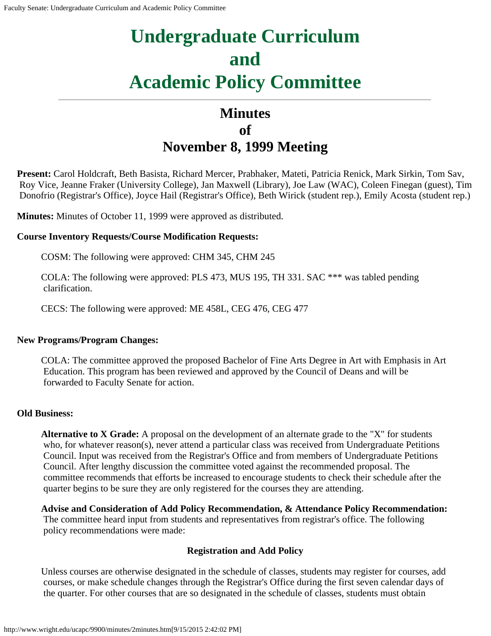# **Undergraduate Curriculum and Academic Policy Committee**

## **Minutes of November 8, 1999 Meeting**

**Present:** Carol Holdcraft, Beth Basista, Richard Mercer, Prabhaker, Mateti, Patricia Renick, Mark Sirkin, Tom Sav, Roy Vice, Jeanne Fraker (University College), Jan Maxwell (Library), Joe Law (WAC), Coleen Finegan (guest), Tim Donofrio (Registrar's Office), Joyce Hail (Registrar's Office), Beth Wirick (student rep.), Emily Acosta (student rep.)

**Minutes:** Minutes of October 11, 1999 were approved as distributed.

#### **Course Inventory Requests/Course Modification Requests:**

COSM: The following were approved: CHM 345, CHM 245

COLA: The following were approved: PLS 473, MUS 195, TH 331. SAC \*\*\* was tabled pending clarification.

CECS: The following were approved: ME 458L, CEG 476, CEG 477

#### **New Programs/Program Changes:**

COLA: The committee approved the proposed Bachelor of Fine Arts Degree in Art with Emphasis in Art Education. This program has been reviewed and approved by the Council of Deans and will be forwarded to Faculty Senate for action.

#### **Old Business:**

**Alternative to X Grade:** A proposal on the development of an alternate grade to the "X" for students who, for whatever reason(s), never attend a particular class was received from Undergraduate Petitions Council. Input was received from the Registrar's Office and from members of Undergraduate Petitions Council. After lengthy discussion the committee voted against the recommended proposal. The committee recommends that efforts be increased to encourage students to check their schedule after the quarter begins to be sure they are only registered for the courses they are attending.

**Advise and Consideration of Add Policy Recommendation, & Attendance Policy Recommendation:** The committee heard input from students and representatives from registrar's office. The following policy recommendations were made:

#### **Registration and Add Policy**

Unless courses are otherwise designated in the schedule of classes, students may register for courses, add courses, or make schedule changes through the Registrar's Office during the first seven calendar days of the quarter. For other courses that are so designated in the schedule of classes, students must obtain